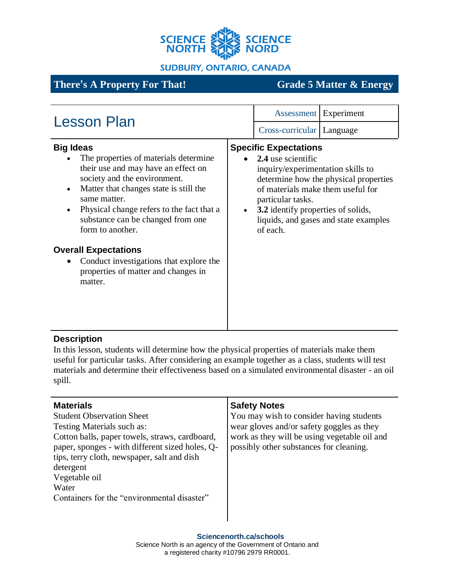

**SUDBURY, ONTARIO, CANADA** 

# **There's A Property For That! Grade 5 Matter & Energy**

| <b>Lesson Plan</b>                                                                                                                                                                                                                                                                                            |  | Assessment Experiment                                                                                                                                                                               |                                                                                |
|---------------------------------------------------------------------------------------------------------------------------------------------------------------------------------------------------------------------------------------------------------------------------------------------------------------|--|-----------------------------------------------------------------------------------------------------------------------------------------------------------------------------------------------------|--------------------------------------------------------------------------------|
|                                                                                                                                                                                                                                                                                                               |  | Cross-curricular   Language                                                                                                                                                                         |                                                                                |
| <b>Big Ideas</b><br>The properties of materials determine<br>their use and may have an effect on<br>society and the environment.<br>Matter that changes state is still the<br>$\bullet$<br>same matter.<br>Physical change refers to the fact that a<br>substance can be changed from one<br>form to another. |  | <b>Specific Expectations</b><br>2.4 use scientific<br>inquiry/experimentation skills to<br>of materials make them useful for<br>particular tasks.<br>3.2 identify properties of solids,<br>of each. | determine how the physical properties<br>liquids, and gases and state examples |
| <b>Overall Expectations</b><br>Conduct investigations that explore the<br>properties of matter and changes in<br>matter.                                                                                                                                                                                      |  |                                                                                                                                                                                                     |                                                                                |

## **Description**

In this lesson, students will determine how the physical properties of materials make them useful for particular tasks. After considering an example together as a class, students will test materials and determine their effectiveness based on a simulated environmental disaster - an oil spill.

| <b>Materials</b>                                | <b>Safety Notes</b>                          |
|-------------------------------------------------|----------------------------------------------|
| <b>Student Observation Sheet</b>                | You may wish to consider having students     |
| Testing Materials such as:                      | wear gloves and/or safety goggles as they    |
| Cotton balls, paper towels, straws, cardboard,  | work as they will be using vegetable oil and |
| paper, sponges - with different sized holes, Q- | possibly other substances for cleaning.      |
| tips, terry cloth, newspaper, salt and dish     |                                              |
| detergent                                       |                                              |
| Vegetable oil                                   |                                              |
| Water                                           |                                              |
| Containers for the "environmental disaster"     |                                              |
|                                                 |                                              |